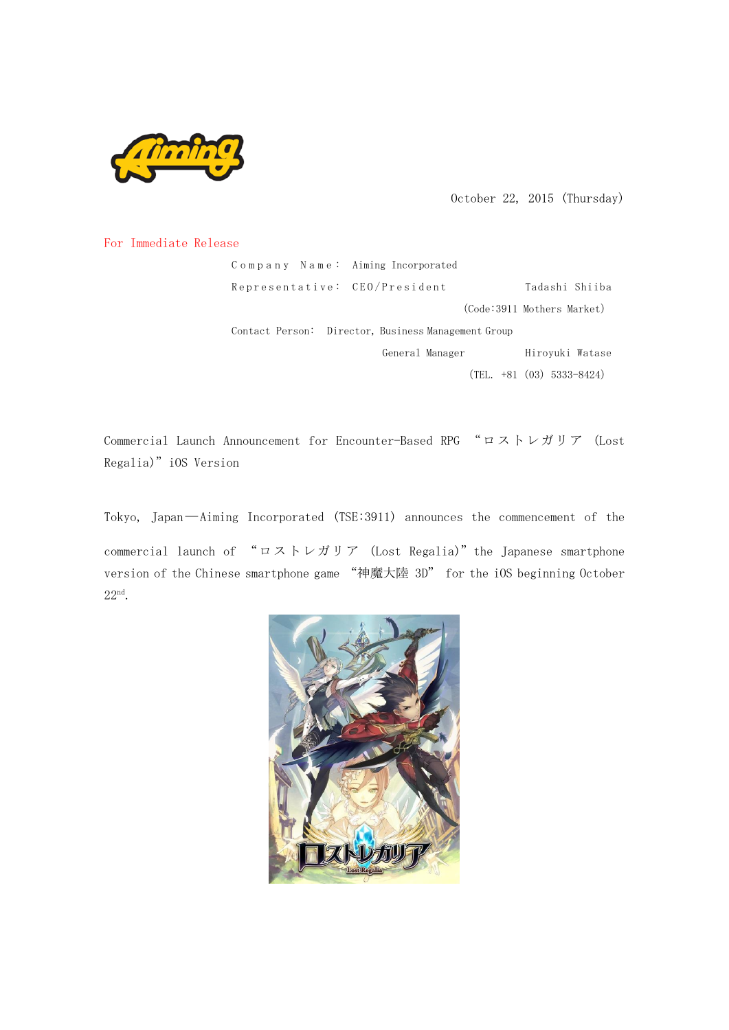

October 22, 2015 (Thursday)

## For Immediate Release

Company Name: Aiming Incorporated Representative: CEO/President Tadashi Shiiba (Code:3911 Mothers Market) Contact Person: Director, Business Management Group General Manager **Hiroyuki Watase**  $(TEL. +81 (03) 5333-8424)$ 

Commercial Launch Announcement for Encounter-Based RPG "ロストレガリア (Lost Regalia)"iOS Version

Tokyo, Japan―Aiming Incorporated (TSE:3911) announces the commencement of the commercial launch of "ロストレガリア (Lost Regalia)" the Japanese smartphone version of the Chinese smartphone game "神魔大陸 3D" for the iOS beginning October 22nd.

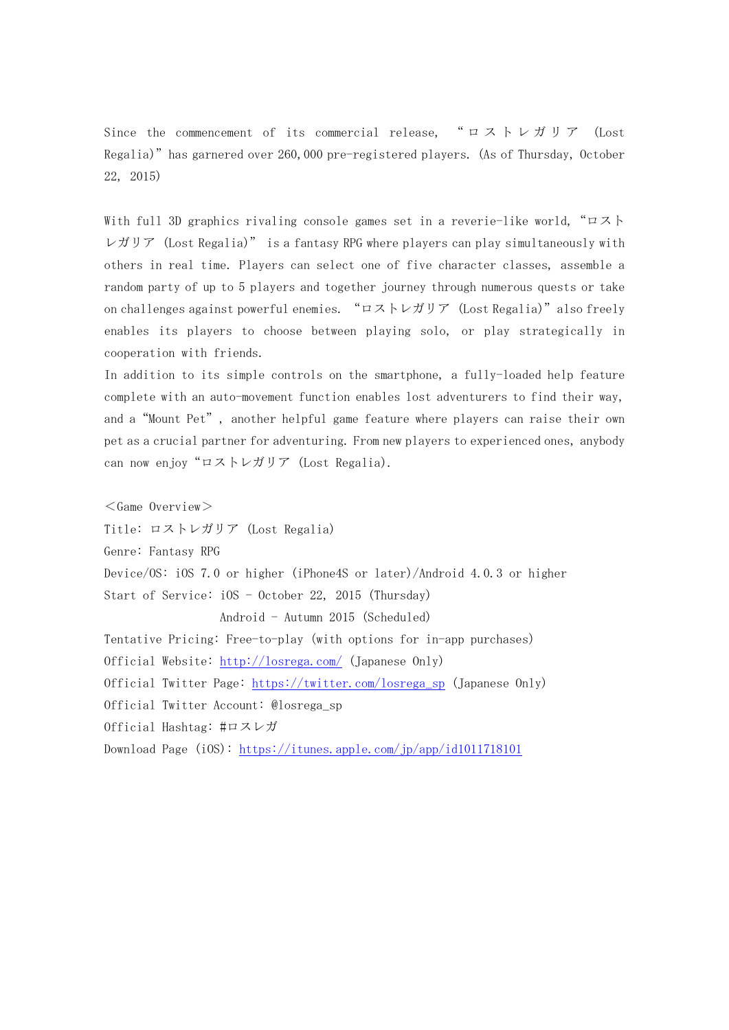Since the commencement of its commercial release, " ロストレガリア (Lost Regalia)"has garnered over 260,000 pre-registered players. (As of Thursday, October 22, 2015)

With full 3D graphics rivaling console games set in a reverie-like world, "ロスト レガリア (Lost Regalia)" is a fantasy RPG where players can play simultaneously with others in real time. Players can select one of five character classes, assemble a random party of up to 5 players and together journey through numerous quests or take on challenges against powerful enemies. "ロストレガリア (Lost Regalia)"also freely enables its players to choose between playing solo, or play strategically in cooperation with friends.

In addition to its simple controls on the smartphone, a fully-loaded help feature complete with an auto-movement function enables lost adventurers to find their way, and a"Mount Pet", another helpful game feature where players can raise their own pet as a crucial partner for adventuring. From new players to experienced ones, anybody can now enjoy "ロストレガリア (Lost Regalia).

 $<$ Game Overview $>$ Title: ロストレガリア (Lost Regalia) Genre: Fantasy RPG Device/OS: iOS 7.0 or higher (iPhone4S or later)/Android 4.0.3 or higher Start of Service: iOS - October 22, 2015 (Thursday) Android - Autumn 2015 (Scheduled) Tentative Pricing: Free-to-play(with options for in-app purchases) Official Website:<http://losrega.com/> (Japanese Only) Official Twitter Page: [https://twitter.com/losrega\\_sp](https://twitter.com/losrega_sp) (Japanese Only) Official Twitter Account: @losrega\_sp Official Hashtag: #ロスレガ Download Page (iOS):<https://itunes.apple.com/jp/app/id1011718101>